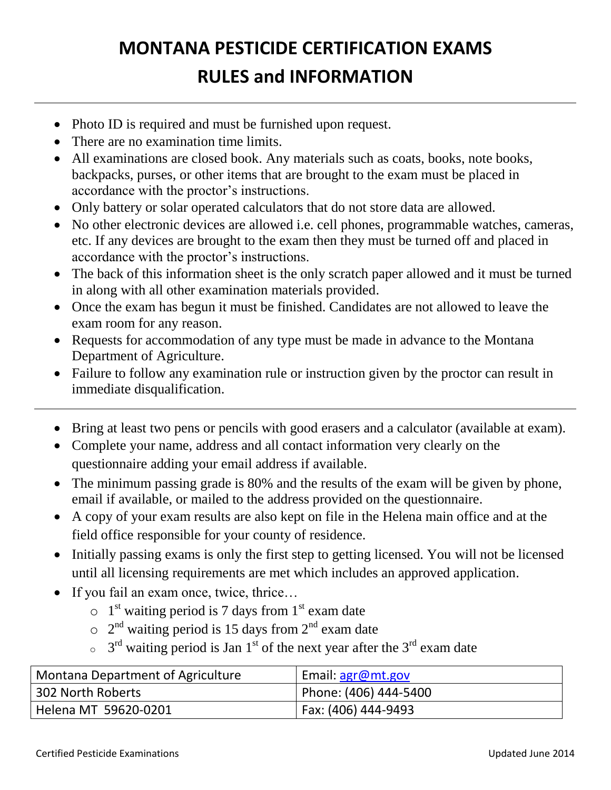## **MONTANA PESTICIDE CERTIFICATION EXAMS RULES and INFORMATION**

- Photo ID is required and must be furnished upon request.
- There are no examination time limits.
- All examinations are closed book. Any materials such as coats, books, note books, backpacks, purses, or other items that are brought to the exam must be placed in accordance with the proctor's instructions.
- Only battery or solar operated calculators that do not store data are allowed.
- No other electronic devices are allowed i.e. cell phones, programmable watches, cameras, etc. If any devices are brought to the exam then they must be turned off and placed in accordance with the proctor's instructions.
- The back of this information sheet is the only scratch paper allowed and it must be turned in along with all other examination materials provided.
- Once the exam has begun it must be finished. Candidates are not allowed to leave the exam room for any reason.
- Requests for accommodation of any type must be made in advance to the Montana Department of Agriculture.
- Failure to follow any examination rule or instruction given by the proctor can result in immediate disqualification.
- Bring at least two pens or pencils with good erasers and a calculator (available at exam).
- Complete your name, address and all contact information very clearly on the questionnaire adding your email address if available.
- The minimum passing grade is 80% and the results of the exam will be given by phone, email if available, or mailed to the address provided on the questionnaire.
- A copy of your exam results are also kept on file in the Helena main office and at the field office responsible for your county of residence.
- Initially passing exams is only the first step to getting licensed. You will not be licensed until all licensing requirements are met which includes an approved application.
- If you fail an exam once, twice, thrice...
	- $\circ$  1<sup>st</sup> waiting period is 7 days from 1<sup>st</sup> exam date
	- $\circ$  2<sup>nd</sup> waiting period is 15 days from 2<sup>nd</sup> exam date
	- $\sigma$  3<sup>rd</sup> waiting period is Jan 1<sup>st</sup> of the next year after the 3<sup>rd</sup> exam date

| Montana Department of Agriculture | Email: agr@mt.gov       |
|-----------------------------------|-------------------------|
| 302 North Roberts                 | Phone: (406) 444-5400 P |
| Helena MT 59620-0201              | Fax: (406) 444-9493     |